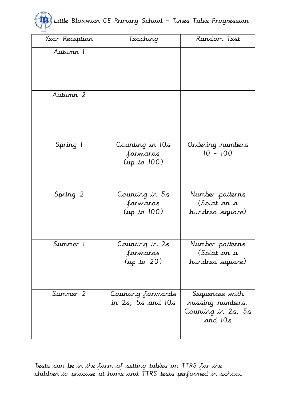|  |  |  | (13) Little Bloxwich CE Primary School - Times Table Progression |
|--|--|--|------------------------------------------------------------------|
|  |  |  |                                                                  |

| Year Reception | Teaching                                         | Random Test                                                         |  |  |
|----------------|--------------------------------------------------|---------------------------------------------------------------------|--|--|
| Autumn 1       |                                                  |                                                                     |  |  |
| Autumn 2       |                                                  |                                                                     |  |  |
| Spring 1       | Counting in 10s<br>forwards<br>$(\mu p \to 100)$ | Ordering numbers<br>$10 - 100$                                      |  |  |
| Spring 2       | Counting in 5s<br>forwards<br>$(\mu p \to 100)$  | Number patterns<br>(Splat <i>o</i> n a<br>hundred square)           |  |  |
| Summer 1       | Counting in 2s<br>forwards<br>$(\mu p \to 20)$   | Number patterns<br>(Splat <i>o</i> n a<br>hundred square)           |  |  |
| Summer 2       | Counting forwards<br>in 2s, 5s and 10s           | Sequences with<br>missing rumbers.<br>Counting in 2s, 5s<br>and 10s |  |  |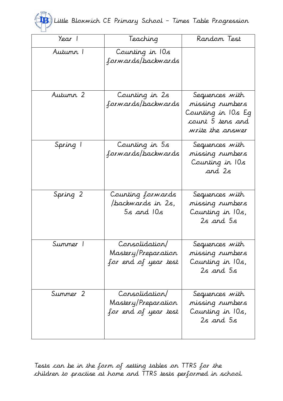

| Year 1   | Teaching                                                      | Random Test                                                                                     |  |  |
|----------|---------------------------------------------------------------|-------------------------------------------------------------------------------------------------|--|--|
| Autumn 1 | Counting in 10s<br>forwards/backwards                         |                                                                                                 |  |  |
| Autumn 2 | Counting in 2s<br>f <i>orwards/backwards</i>                  | Sequences with<br>missing rumbers<br>Counting in 10s Eg<br>count 5 tens and<br>write the answer |  |  |
| Spring 1 | Counting in 5s<br>forwards/backwards                          | Sequences with<br>missing rumbers<br>Counting in 10s<br>and 2s                                  |  |  |
| Spring 2 | Counting forwards<br>/backwards in 2s,<br>$5s$ and $10s$      | Sequences with<br>missing rumbers<br>Counting in 10s,<br>$2s$ and $5s$                          |  |  |
| Summer 1 | Consolidation/<br>Mastery/Preparation<br>for end of year test | Sequences with<br>missing rumbers<br>Counting in 10s,<br>2s and 5s                              |  |  |
| Summer 2 | Consolidation/<br>Mastery/Preparation<br>for end of year test | Sequences with<br>missing rumbers<br>Counting in 10s,<br>$2s$ and $5s$                          |  |  |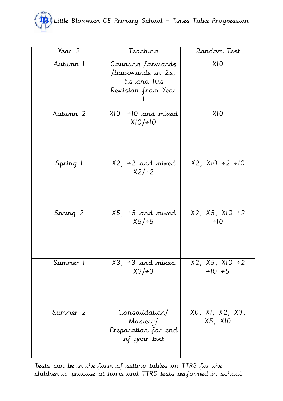

| Year 2   | Teaching                                                                       | Random Test                              |  |  |
|----------|--------------------------------------------------------------------------------|------------------------------------------|--|--|
| Autumn T | Counting forwards<br>/backwards in 2s,<br>$5s$ and $10s$<br>Revision from Year | XIO                                      |  |  |
| Autumn 2 | $X 0, \div 0$ and mixed<br>$X10/+10$                                           | XIO                                      |  |  |
| Spring 1 | $X2, ÷2$ and mixed<br>$X2/\div 2$                                              | $X2, X10 \div 2 \div 10$                 |  |  |
| Spring 2 | $X5, ÷ 5$ and mixed<br>$X5/+5$                                                 | $X2, X5, X10 \div 2$<br>$\div 10$        |  |  |
| Summer 1 | $X3, ÷3$ and mixed<br>$X3/\div 3$                                              | $X2, X5, X10 \div 2$<br>$\div 10 \div 5$ |  |  |
| Summer 2 | Consolidation/<br>Mastery/<br>Preparation for end<br>of year test              | XO, XI, X2, X3,<br>X5, XIO               |  |  |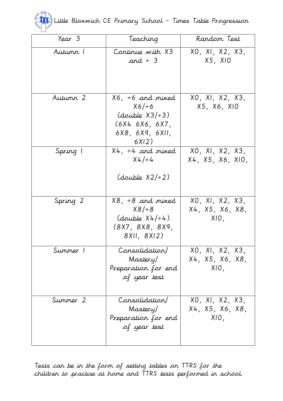

| Year 3   | Teaching                                                                                                | Random Test                                |
|----------|---------------------------------------------------------------------------------------------------------|--------------------------------------------|
| Autumn T | Continue with X3<br>and $\div$ 3                                                                        | XO, XI, X2, X3,<br>X5, X10                 |
| Autumn 2 | $X6, ÷6$ and mixed<br>$X6/\div 6$<br>$(double X3/\div 3)$<br>(6X4 6X6, 6X7,<br>6X8, 6X9, 6XII,<br>6X12) | XO, XI, X2, X3,<br>X5, X6, X10             |
| Spring 1 | $X4, ÷4$ and mixed<br>$X4/ \div 4$<br>(double $X2/\div 2$ )                                             | XO, XI, X2, X3,<br>X4, X5, X6, X10,        |
| Spring 2 | $X8, ÷ 8$ and mixed<br>$X8/\div 8$<br>$(double X4/\div 4)$<br>(8X7, 8X8, 8X9,<br>8XII, 8XI2)            | XO, XI, X2, X3,<br>X4, X5, X6, X8,<br>XIO, |
| Summer 1 | Consolidation/<br>Mastery/<br>Preparation for end<br>of year test                                       | XO, XI, X2, X3,<br>X4, X5, X6, X8,<br>XIO. |
| Summer 2 | Consolidation/<br>Mastery/<br>Preparation for end<br>of year test                                       | XO, XI, X2, X3,<br>X4, X5, X6, X8,<br>XIO, |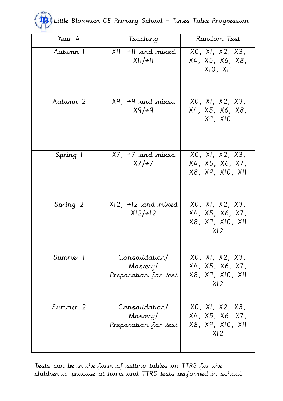|  |  |  | (TB) Little Bloxwich CE Primary School - Times Table Progression |
|--|--|--|------------------------------------------------------------------|
|  |  |  |                                                                  |

| Year 4   | Teaching                                           | Random Test                                                               |  |  |  |
|----------|----------------------------------------------------|---------------------------------------------------------------------------|--|--|--|
| Autumn 1 | $XII, \div II$ and mixed<br>$X  /\div  $           | XO, XI, X2, X3,<br>X4, X5, X6, X8,<br>XIO, XII                            |  |  |  |
| Autumn 2 | $Xq$ , ÷9 and mixed<br>$Xq/+q$                     | XO, XI, X2, X3,<br>X4, X5, X6, X8,<br>X9, X10                             |  |  |  |
| Spring 1 | $X7, \div 7$ and mixed<br>$X7/+7$                  | XO, XI, X2, X3,<br>X4, X5, X6, X7,<br>X8, X9, XI0, XII                    |  |  |  |
| Spring 2 | $X12, \div 12$ and mixed<br>$X12/+12$              | XO, XI, X2, X3,<br>X4, X5, X6, X7,<br>X8, X9, X10, X11<br>X <sub>12</sub> |  |  |  |
| Summer 1 | Consolidation/<br>Mastery/<br>Preparation for test | XO, XI, X2, X3,<br>X4, X5, X6, X7,<br>X8, X9, X10, X11<br>X <sub>12</sub> |  |  |  |
| Summer 2 | Consolidation/<br>Mastery/<br>Preparation for test | XO, XI, X2, X3,<br>X4, X5, X6, X7,<br>X8, X9, X10, X11<br>X <sub>12</sub> |  |  |  |